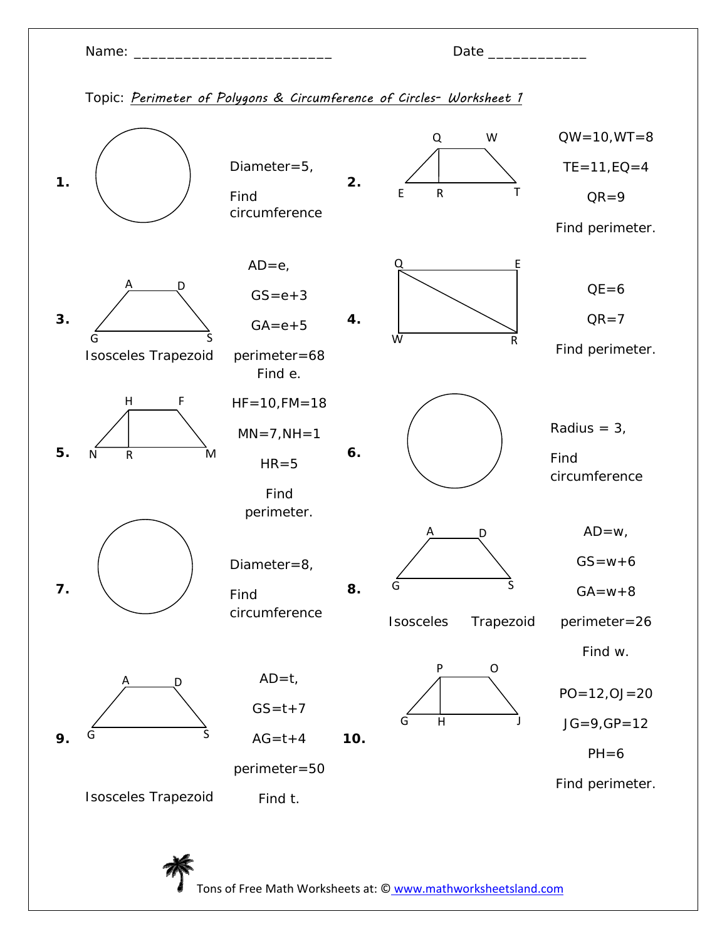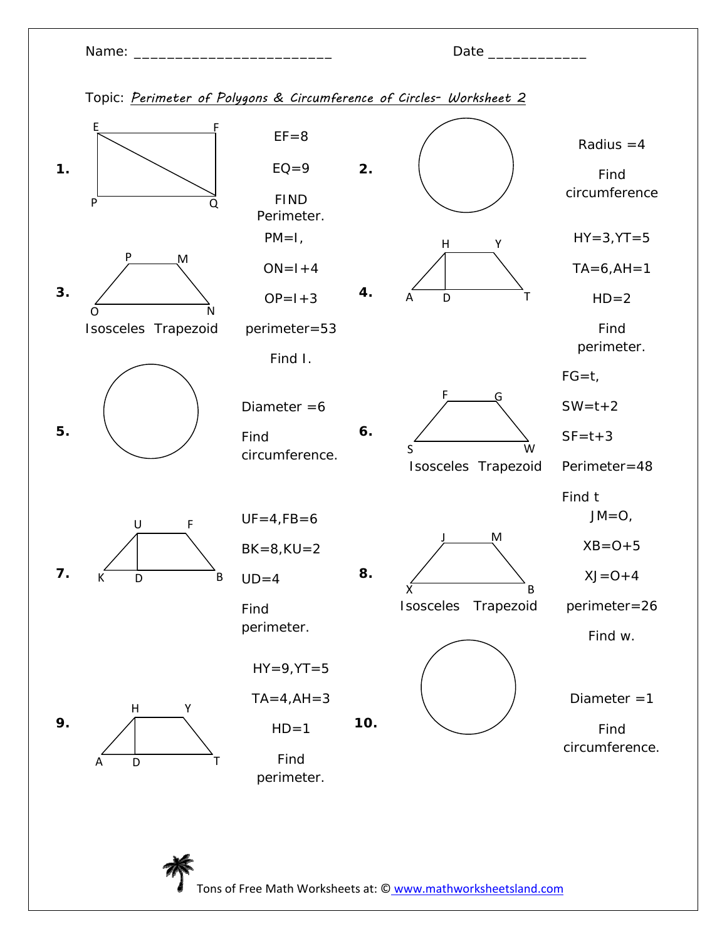| Name: |
|-------|
|-------|

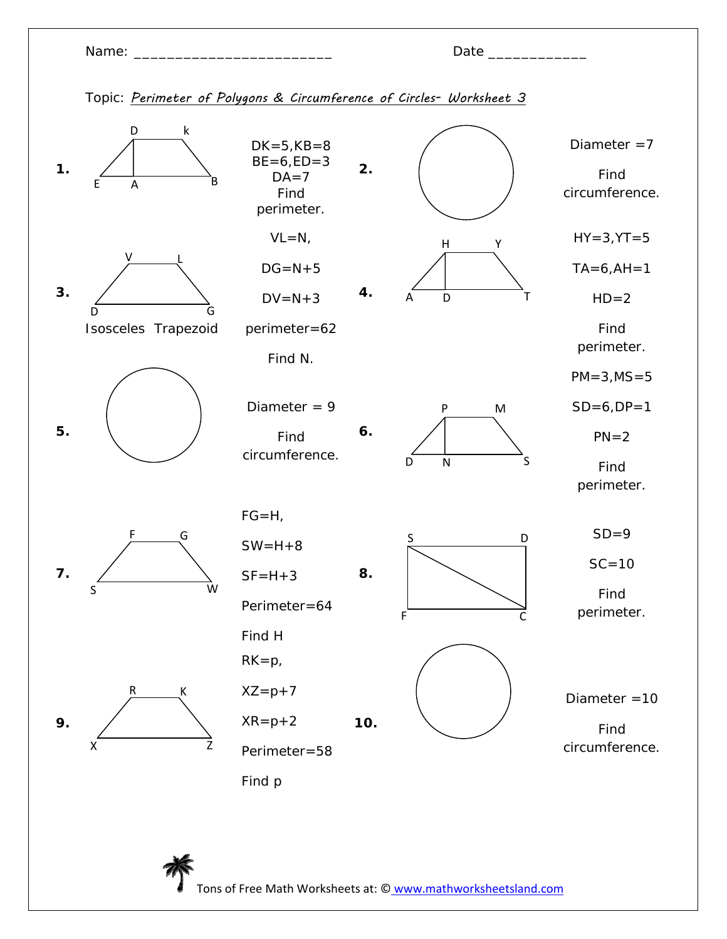Name:  $\Box$ 

|--|

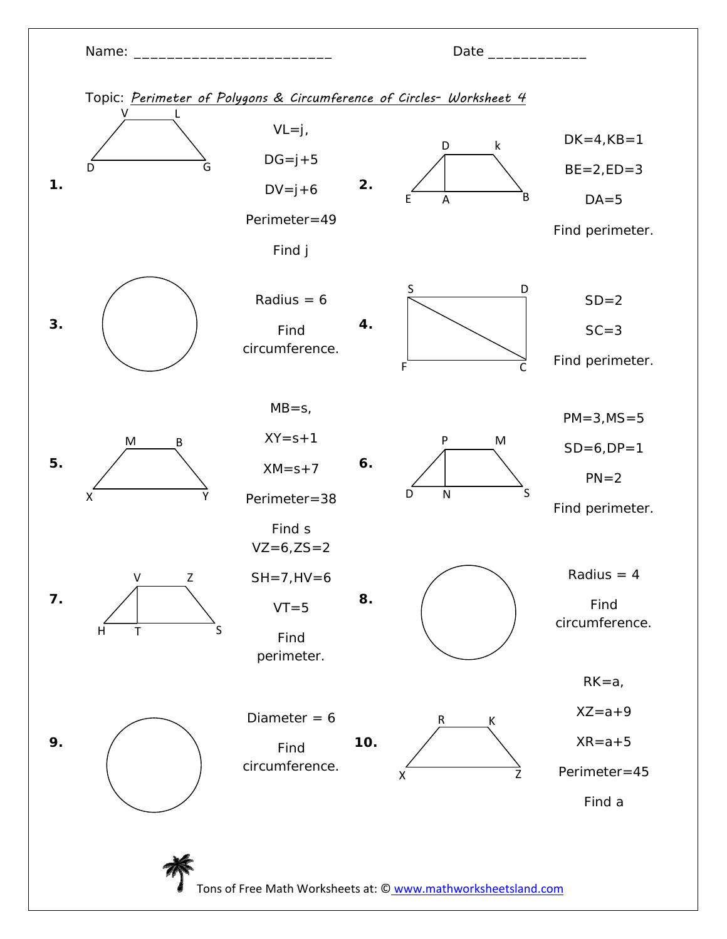